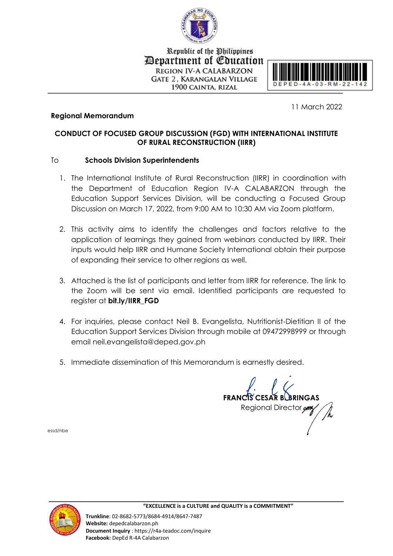

Republic of the Philippines Department of Education **REGION IV-A CALABARZON GATE 2. KARANGALAN VILLAGE** 1900 CAINTA, RIZAL



## **Regional Memorandum**

11 March 2022

## **CONDUCT OF FOCUSED GROUP DISCUSSION (FGD) WITH INTERNATIONAL INSTITUTE OF RURAL RECONSTRUCTION (IIRR)**

## To **Schools Division Superintendents**

- 1. The International Institute of Rural Reconstruction (IIRR) in coordination with the Department of Education Region IV-A CALABARZON through the Education Support Services Division, will be conducting a Focused Group Discussion on March 17, 2022, from 9:00 AM to 10:30 AM via Zoom platform.
- 2. This activity aims to identify the challenges and factors relative to the application of learnings they gained from webinars conducted by IIRR. Their inputs would help IIRR and Humane Society International obtain their purpose of expanding their service to other regions as well.
- 3. Attached is the list of participants and letter from IIRR for reference. The link to the Zoom will be sent via email. Identified participants are requested to register at **bit.ly/IIRR\_FGD**
- 4. For inquiries, please contact Neil B. Evangelista, Nutritionist-Dietitian II of the Education Support Services Division through mobile at 09472998999 or through email neil.evangelista@deped.gov.ph
- 5. Immediate dissemination of this Memorandum is earnestly desired.

**FRANCIS CESAR B. BRINGAS** Regional Director

essd/nbe



**"EXCELLENCE is a CULTURE and QUALITY is a COMMITMENT"**

**Trunkline**: 02-8682-5773/8684-4914/8647-7487 **Website:** depedcalabarzon.ph **Document Inquiry** : https://r4a-teadoc.com/inquire **Facebook:** DepEd R-4A Calabarzon